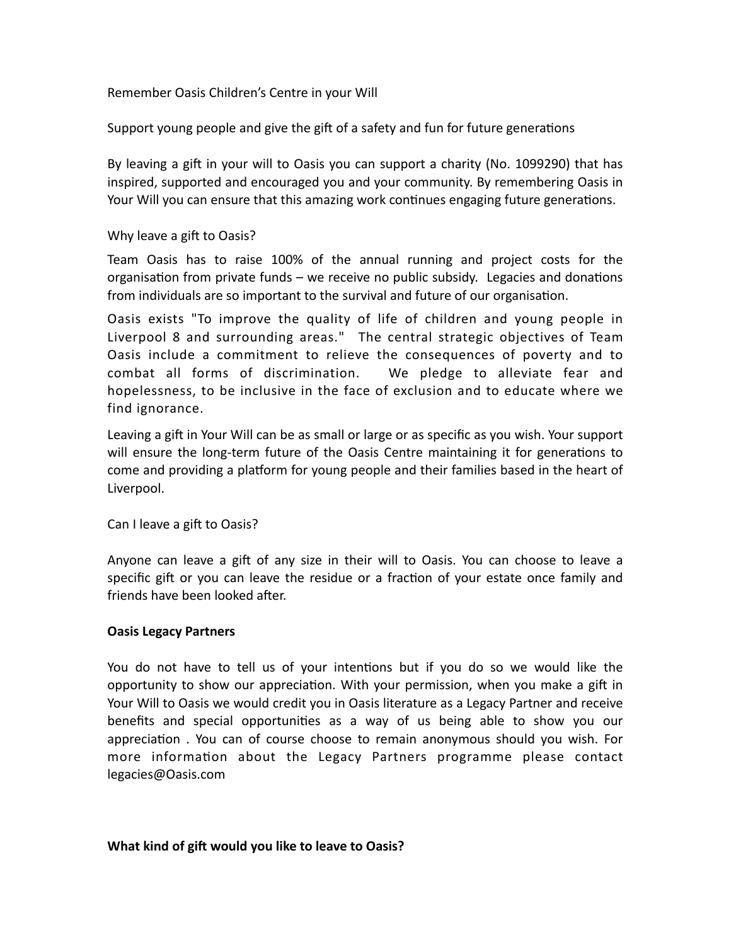### Remember Oasis Children's Centre in your Will

Support young people and give the gift of a safety and fun for future generations

By leaving a gift in your will to Oasis you can support a charity (No. 1099290) that has inspired, supported and encouraged you and your community. By remembering Oasis in Your Will you can ensure that this amazing work continues engaging future generations.

#### Why leave a gift to Oasis?

Team Oasis has to raise 100% of the annual running and project costs for the organisation from private funds – we receive no public subsidy. Legacies and donations from individuals are so important to the survival and future of our organisation.

Oasis exists "To improve the quality of life of children and young people in Liverpool 8 and surrounding areas." The central strategic objectives of Team Oasis include a commitment to relieve the consequences of poverty and to combat all forms of discrimination. We pledge to alleviate fear and hopelessness, to be inclusive in the face of exclusion and to educate where we find ignorance.

Leaving a gift in Your Will can be as small or large or as specific as you wish. Your support will ensure the long-term future of the Oasis Centre maintaining it for generations to come and providing a platform for young people and their families based in the heart of Liverpool.

Can I leave a gift to Oasis?

Anyone can leave a gift of any size in their will to Oasis. You can choose to leave a specific gift or you can leave the residue or a fraction of your estate once family and friends have been looked after.

#### **Oasis Legacy Partners**

You do not have to tell us of your intentions but if you do so we would like the opportunity to show our appreciation. With your permission, when you make a gift in Your Will to Oasis we would credit you in Oasis literature as a Legacy Partner and receive benefits and special opportunities as a way of us being able to show you our appreciation . You can of course choose to remain anonymous should you wish. For more information about the Legacy Partners programme please contact legacies@Oasis.com

#### **What kind of gift would you like to leave to Oasis?**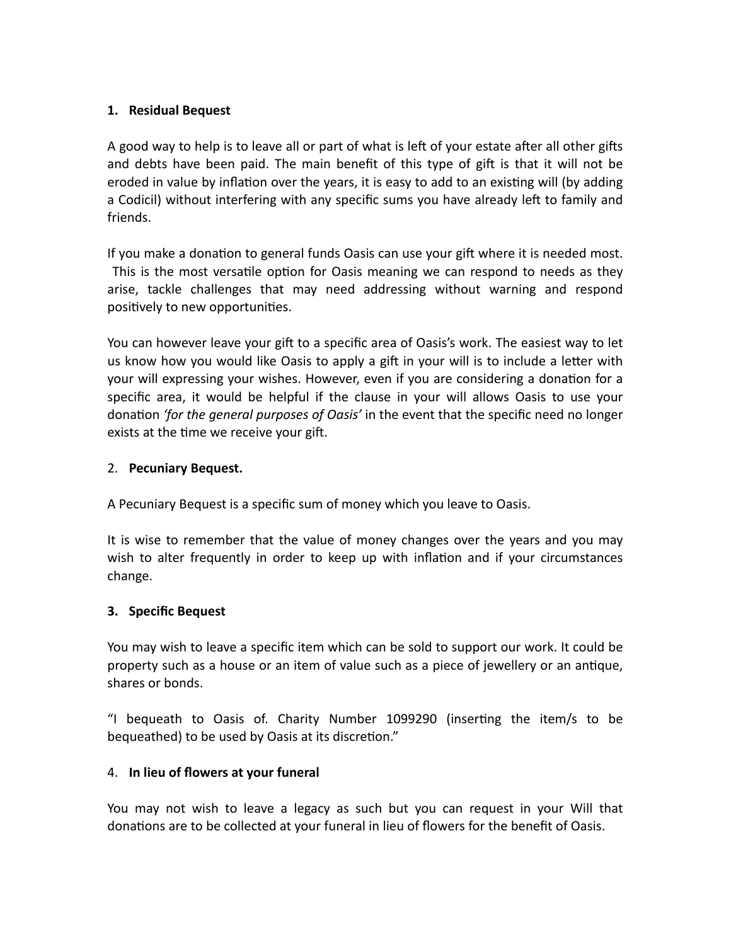## **1. Residual Bequest**

A good way to help is to leave all or part of what is left of your estate after all other gifts and debts have been paid. The main benefit of this type of gift is that it will not be eroded in value by inflation over the years, it is easy to add to an existing will (by adding a Codicil) without interfering with any specific sums you have already left to family and friends.

If you make a donation to general funds Oasis can use your gift where it is needed most. This is the most versatile option for Oasis meaning we can respond to needs as they arise, tackle challenges that may need addressing without warning and respond positively to new opportunities.

You can however leave your gift to a specific area of Oasis's work. The easiest way to let us know how you would like Oasis to apply a gift in your will is to include a letter with your will expressing your wishes. However, even if you are considering a donation for a specific area, it would be helpful if the clause in your will allows Oasis to use your donation *'for the general purposes of Oasis'* in the event that the specific need no longer exists at the time we receive your gift.

### 2. **Pecuniary Bequest.**

A Pecuniary Bequest is a specific sum of money which you leave to Oasis.

It is wise to remember that the value of money changes over the years and you may wish to alter frequently in order to keep up with inflation and if your circumstances change.

### **3. Specific Bequest**

You may wish to leave a specific item which can be sold to support our work. It could be property such as a house or an item of value such as a piece of jewellery or an antique, shares or bonds.

"I bequeath to Oasis of. Charity Number 1099290 (inserting the item/s to be bequeathed) to be used by Oasis at its discretion."

### 4. **In lieu of flowers at your funeral**

You may not wish to leave a legacy as such but you can request in your Will that donations are to be collected at your funeral in lieu of flowers for the benefit of Oasis.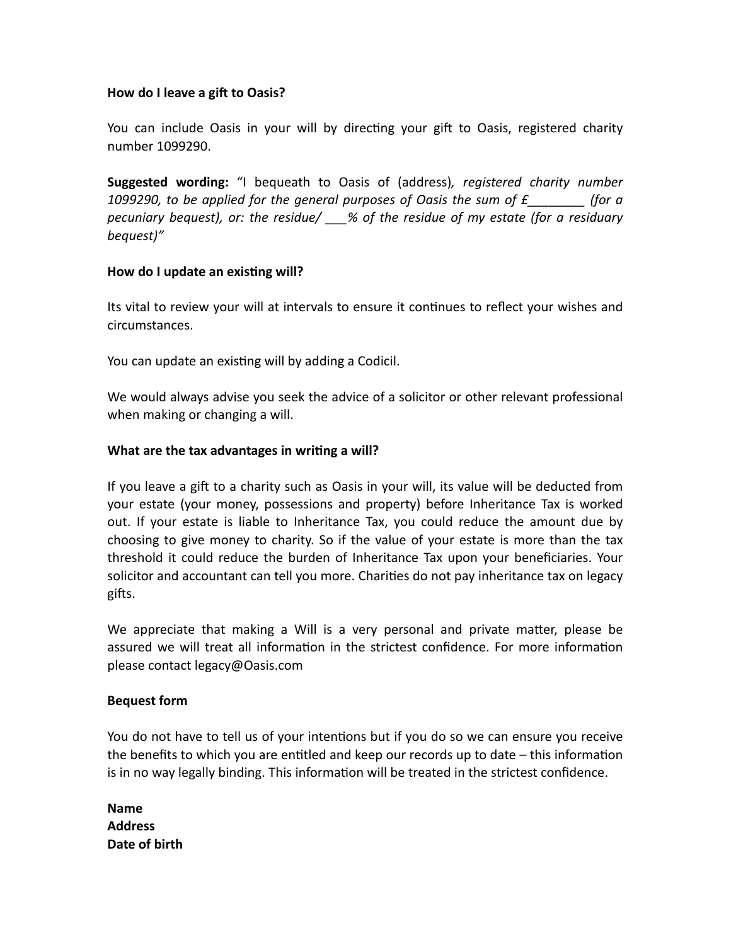### **How do I leave a gift to Oasis?**

You can include Oasis in your will by directing your gift to Oasis, registered charity number 1099290.

**Suggested wording:** "I bequeath to Oasis of (address)*, registered charity number 1099290, to be applied for the general purposes of Oasis the sum of £\_\_\_\_\_\_\_\_ (for a pecuniary bequest), or: the residue/ \_\_\_% of the residue of my estate (for a residuary bequest)"*

### **How do I update an existing will?**

Its vital to review your will at intervals to ensure it continues to reflect your wishes and circumstances.

You can update an existing will by adding a Codicil.

We would always advise you seek the advice of a solicitor or other relevant professional when making or changing a will.

## **What are the tax advantages in writing a will?**

If you leave a gift to a charity such as Oasis in your will, its value will be deducted from your estate (your money, possessions and property) before Inheritance Tax is worked out. If your estate is liable to Inheritance Tax, you could reduce the amount due by choosing to give money to charity. So if the value of your estate is more than the tax threshold it could reduce the burden of Inheritance Tax upon your beneficiaries. Your solicitor and accountant can tell you more. Charities do not pay inheritance tax on legacy gifts.

We appreciate that making a Will is a very personal and private matter, please be assured we will treat all information in the strictest confidence. For more information please contact legacy@Oasis.com

### **Bequest form**

You do not have to tell us of your intentions but if you do so we can ensure you receive the benefits to which you are entitled and keep our records up to date – this information is in no way legally binding. This information will be treated in the strictest confidence.

**Name Address Date of birth**